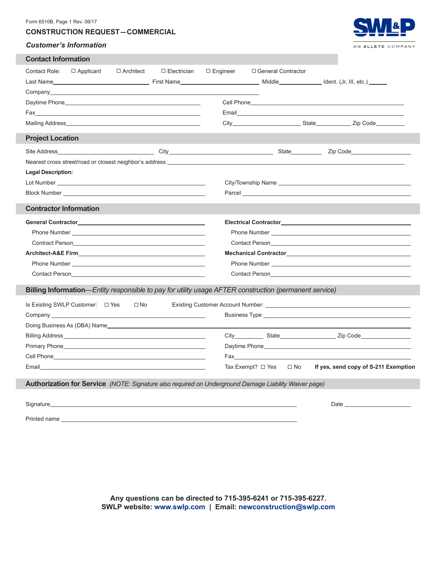#### Form 6510B, Page 1 Rev. 08/17

## **CONSTRUCTION REQUEST  —  COMMERCIAL**

#### *Customer's Information*



| <b>Contact Information</b>                                                                                                                                                                                                       |                                                                                                                                                                                                                                |                                                                                                                                                                                                                                |                                                                                                                                                                                                                                          |                                                                                                                                                                                                                                |  |                      |  |                                                                                                                                                                                                                                      |  |  |  |  |
|----------------------------------------------------------------------------------------------------------------------------------------------------------------------------------------------------------------------------------|--------------------------------------------------------------------------------------------------------------------------------------------------------------------------------------------------------------------------------|--------------------------------------------------------------------------------------------------------------------------------------------------------------------------------------------------------------------------------|------------------------------------------------------------------------------------------------------------------------------------------------------------------------------------------------------------------------------------------|--------------------------------------------------------------------------------------------------------------------------------------------------------------------------------------------------------------------------------|--|----------------------|--|--------------------------------------------------------------------------------------------------------------------------------------------------------------------------------------------------------------------------------------|--|--|--|--|
| Contact Role:                                                                                                                                                                                                                    | $\Box$ Applicant                                                                                                                                                                                                               | □ Architect                                                                                                                                                                                                                    | $\Box$ Electrician                                                                                                                                                                                                                       | $\Box$ Engineer                                                                                                                                                                                                                |  | □ General Contractor |  |                                                                                                                                                                                                                                      |  |  |  |  |
|                                                                                                                                                                                                                                  |                                                                                                                                                                                                                                |                                                                                                                                                                                                                                | Last Name dent. (Jr, III, etc.) and Einst Name Middle Middle Middle Metal (Jr, III, etc.)                                                                                                                                                |                                                                                                                                                                                                                                |  |                      |  |                                                                                                                                                                                                                                      |  |  |  |  |
|                                                                                                                                                                                                                                  |                                                                                                                                                                                                                                |                                                                                                                                                                                                                                |                                                                                                                                                                                                                                          |                                                                                                                                                                                                                                |  |                      |  |                                                                                                                                                                                                                                      |  |  |  |  |
|                                                                                                                                                                                                                                  |                                                                                                                                                                                                                                |                                                                                                                                                                                                                                | Daytime Phone <b>Example 20</b> Phone <b>CONSUMER 20 Phone</b> 20 Phone 20 Phone 20 Phone 20 Phone 20 Phone 20 Phone 20 Phone 20 Phone 20 Phone 20 Phone 20 Phone 20 Phone 20 Phone 20 Phone 20 Phone 20 Phone 20 Phone 20 Phone 20 Phon |                                                                                                                                                                                                                                |  |                      |  | <b>Cell Phone Cell Phone</b>                                                                                                                                                                                                         |  |  |  |  |
|                                                                                                                                                                                                                                  |                                                                                                                                                                                                                                |                                                                                                                                                                                                                                |                                                                                                                                                                                                                                          |                                                                                                                                                                                                                                |  |                      |  |                                                                                                                                                                                                                                      |  |  |  |  |
|                                                                                                                                                                                                                                  |                                                                                                                                                                                                                                |                                                                                                                                                                                                                                | Mailing Address <b>Contract Contract Contract Contract Contract Contract Contract Contract Contract Contract Contract Contract Contract Contract Contract Contract Contract Contract Contract Contract Contract Contract Contrac</b>     |                                                                                                                                                                                                                                |  |                      |  |                                                                                                                                                                                                                                      |  |  |  |  |
| <b>Project Location</b>                                                                                                                                                                                                          |                                                                                                                                                                                                                                |                                                                                                                                                                                                                                |                                                                                                                                                                                                                                          |                                                                                                                                                                                                                                |  |                      |  |                                                                                                                                                                                                                                      |  |  |  |  |
|                                                                                                                                                                                                                                  |                                                                                                                                                                                                                                |                                                                                                                                                                                                                                |                                                                                                                                                                                                                                          |                                                                                                                                                                                                                                |  |                      |  |                                                                                                                                                                                                                                      |  |  |  |  |
|                                                                                                                                                                                                                                  |                                                                                                                                                                                                                                |                                                                                                                                                                                                                                | Nearest cross street/road or closest neighbor's address experience of the street and the street/road or closest neighbor's address                                                                                                       |                                                                                                                                                                                                                                |  |                      |  |                                                                                                                                                                                                                                      |  |  |  |  |
| <b>Legal Description:</b>                                                                                                                                                                                                        |                                                                                                                                                                                                                                |                                                                                                                                                                                                                                |                                                                                                                                                                                                                                          |                                                                                                                                                                                                                                |  |                      |  |                                                                                                                                                                                                                                      |  |  |  |  |
|                                                                                                                                                                                                                                  |                                                                                                                                                                                                                                |                                                                                                                                                                                                                                |                                                                                                                                                                                                                                          |                                                                                                                                                                                                                                |  |                      |  |                                                                                                                                                                                                                                      |  |  |  |  |
|                                                                                                                                                                                                                                  |                                                                                                                                                                                                                                |                                                                                                                                                                                                                                |                                                                                                                                                                                                                                          |                                                                                                                                                                                                                                |  |                      |  | Parcel <b>Executive Contract Contract Contract Contract Contract Contract Contract Contract Contract Contract Contract Contract Contract Contract Contract Contract Contract Contract Contract Contract Contract Contract Contra</b> |  |  |  |  |
| <b>Contractor Information</b>                                                                                                                                                                                                    |                                                                                                                                                                                                                                |                                                                                                                                                                                                                                |                                                                                                                                                                                                                                          |                                                                                                                                                                                                                                |  |                      |  |                                                                                                                                                                                                                                      |  |  |  |  |
|                                                                                                                                                                                                                                  |                                                                                                                                                                                                                                |                                                                                                                                                                                                                                |                                                                                                                                                                                                                                          |                                                                                                                                                                                                                                |  |                      |  |                                                                                                                                                                                                                                      |  |  |  |  |
|                                                                                                                                                                                                                                  |                                                                                                                                                                                                                                |                                                                                                                                                                                                                                | Phone Number <u>experience</u> and the contract of the contract of the contract of the contract of the contract of the contract of the contract of the contract of the contract of the contract of the contract of the contract of       |                                                                                                                                                                                                                                |  |                      |  |                                                                                                                                                                                                                                      |  |  |  |  |
|                                                                                                                                                                                                                                  |                                                                                                                                                                                                                                |                                                                                                                                                                                                                                | Contract Person experience of the contract Person experience of the contract Person                                                                                                                                                      | Contact Person experience of the contract problem of the contract problem of the contract of the contract of the contract of the contract of the contract of the contract of the contract of the contract of the contract of t |  |                      |  |                                                                                                                                                                                                                                      |  |  |  |  |
|                                                                                                                                                                                                                                  |                                                                                                                                                                                                                                |                                                                                                                                                                                                                                | Architect-A&E Firm <b>Exercise 2018</b>                                                                                                                                                                                                  | Mechanical Contractor <b>Exercísion Contractor</b> and Contractor                                                                                                                                                              |  |                      |  |                                                                                                                                                                                                                                      |  |  |  |  |
|                                                                                                                                                                                                                                  |                                                                                                                                                                                                                                |                                                                                                                                                                                                                                |                                                                                                                                                                                                                                          |                                                                                                                                                                                                                                |  |                      |  |                                                                                                                                                                                                                                      |  |  |  |  |
| Contact Person <b>Example 2018 Contact Person</b>                                                                                                                                                                                | Contact Person experience of the contract person of the contract person of the contract of the contract of the contract of the contract of the contract of the contract of the contract of the contract of the contract of the |                                                                                                                                                                                                                                |                                                                                                                                                                                                                                          |                                                                                                                                                                                                                                |  |                      |  |                                                                                                                                                                                                                                      |  |  |  |  |
|                                                                                                                                                                                                                                  |                                                                                                                                                                                                                                |                                                                                                                                                                                                                                | Billing Information—Entity responsible to pay for utility usage AFTER construction (permanent service)                                                                                                                                   |                                                                                                                                                                                                                                |  |                      |  |                                                                                                                                                                                                                                      |  |  |  |  |
|                                                                                                                                                                                                                                  | Is Existing SWLP Customer: □ Yes                                                                                                                                                                                               | $\square$ No                                                                                                                                                                                                                   |                                                                                                                                                                                                                                          |                                                                                                                                                                                                                                |  |                      |  |                                                                                                                                                                                                                                      |  |  |  |  |
|                                                                                                                                                                                                                                  |                                                                                                                                                                                                                                |                                                                                                                                                                                                                                |                                                                                                                                                                                                                                          |                                                                                                                                                                                                                                |  |                      |  |                                                                                                                                                                                                                                      |  |  |  |  |
|                                                                                                                                                                                                                                  |                                                                                                                                                                                                                                |                                                                                                                                                                                                                                |                                                                                                                                                                                                                                          |                                                                                                                                                                                                                                |  |                      |  |                                                                                                                                                                                                                                      |  |  |  |  |
|                                                                                                                                                                                                                                  |                                                                                                                                                                                                                                |                                                                                                                                                                                                                                |                                                                                                                                                                                                                                          |                                                                                                                                                                                                                                |  |                      |  |                                                                                                                                                                                                                                      |  |  |  |  |
|                                                                                                                                                                                                                                  |                                                                                                                                                                                                                                | Daytime Phone Management and the contract of the contract of the contract of the contract of the contract of the contract of the contract of the contract of the contract of the contract of the contract of the contract of t |                                                                                                                                                                                                                                          |                                                                                                                                                                                                                                |  |                      |  |                                                                                                                                                                                                                                      |  |  |  |  |
| <b>Cell Phone Cell Contract Contract Contract Contract Contract Contract Contract Contract Contract Contract Contract Contract Contract Contract Contract Contract Contract Contract Contract Contract Contract Contract Con</b> | Fax and the state of the state of the state of the state of the state of the state of the state of the state of the state of the state of the state of the state of the state of the state of the state of the state of the st |                                                                                                                                                                                                                                |                                                                                                                                                                                                                                          |                                                                                                                                                                                                                                |  |                      |  |                                                                                                                                                                                                                                      |  |  |  |  |
|                                                                                                                                                                                                                                  |                                                                                                                                                                                                                                | $\Box$ No<br>If yes, send copy of S-211 Exemption<br>Tax Exempt? $\Box$ Yes                                                                                                                                                    |                                                                                                                                                                                                                                          |                                                                                                                                                                                                                                |  |                      |  |                                                                                                                                                                                                                                      |  |  |  |  |
|                                                                                                                                                                                                                                  |                                                                                                                                                                                                                                |                                                                                                                                                                                                                                | Authorization for Service (NOTE: Signature also required on Underground Damage Liability Waiver page)                                                                                                                                    |                                                                                                                                                                                                                                |  |                      |  |                                                                                                                                                                                                                                      |  |  |  |  |
|                                                                                                                                                                                                                                  |                                                                                                                                                                                                                                |                                                                                                                                                                                                                                |                                                                                                                                                                                                                                          |                                                                                                                                                                                                                                |  |                      |  |                                                                                                                                                                                                                                      |  |  |  |  |
| Printed name                                                                                                                                                                                                                     |                                                                                                                                                                                                                                |                                                                                                                                                                                                                                |                                                                                                                                                                                                                                          |                                                                                                                                                                                                                                |  |                      |  |                                                                                                                                                                                                                                      |  |  |  |  |

**Any questions can be directed to 715-395-6241 or 715-395-6227. SWLP website: www.swlp.com | Email: newconstruction@swlp.com**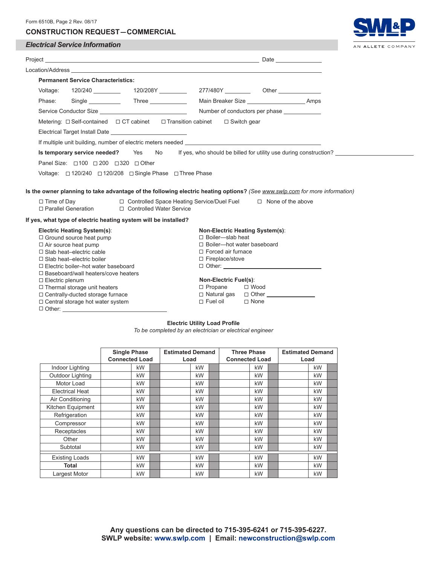| Form 6510B, Page 2 Rev. 08/17<br><b>CONSTRUCTION REQUEST-COMMERCIAL</b>                                                    |                                                                            |                  |
|----------------------------------------------------------------------------------------------------------------------------|----------------------------------------------------------------------------|------------------|
| <b>Electrical Service Information</b>                                                                                      |                                                                            | AN ALLETE COMPAN |
|                                                                                                                            |                                                                            |                  |
| Location/Address <b>Example 2018 Contract 2018 Contract 2018 Contract 2018 Contract 2018</b>                               |                                                                            |                  |
| <b>Permanent Service Characteristics:</b>                                                                                  |                                                                            |                  |
| Voltage:                                                                                                                   |                                                                            |                  |
|                                                                                                                            |                                                                            |                  |
| Phase: Single Three Main Breaker Size Maines. Amps                                                                         |                                                                            |                  |
|                                                                                                                            | Number of conductors per phase ____________                                |                  |
| Metering: $\Box$ Self-contained $\Box$ CT cabinet $\Box$ Transition cabinet $\Box$ Switch gear                             |                                                                            |                  |
| Electrical Target Install Date _____________________________                                                               |                                                                            |                  |
|                                                                                                                            |                                                                            |                  |
|                                                                                                                            |                                                                            |                  |
| Is temporary service needed? Yes No                                                                                        | If yes, who should be billed for utility use during construction?          |                  |
| Panel Size: □100 □ 200 □ 320 □ Other                                                                                       |                                                                            |                  |
| Voltage: □ 120/240 □ 120/208 □ Single Phase □ Three Phase                                                                  |                                                                            |                  |
|                                                                                                                            |                                                                            |                  |
| Is the owner planning to take advantage of the following electric heating options? (See www.swlp.com for more information) |                                                                            |                  |
| $\Box$ Time of Day<br>□ Parallel Generation<br>□ Controlled Water Service                                                  | $\Box$ Controlled Space Heating Service/Duel Fuel $\Box$ None of the above |                  |
| If yes, what type of electric heating system will be installed?                                                            |                                                                            |                  |
| <b>Electric Heating System(s):</b>                                                                                         | Non-Electric Heating System(s):                                            |                  |
| $\Box$ Ground source heat pump                                                                                             | $\Box$ Boiler-slab heat                                                    |                  |
| $\Box$ Air source heat pump                                                                                                | $\Box$ Boiler-hot water baseboard                                          |                  |
| $\Box$ Slab heat-electric cable                                                                                            | $\Box$ Forced air furnace                                                  |                  |
| $\Box$ Slab heat-electric boiler                                                                                           | $\Box$ Fireplace/stove                                                     |                  |
| $\Box$ Electric boiler-hot water baseboard                                                                                 |                                                                            |                  |
| $\Box$ Baseboard/wall heaters/cove heaters                                                                                 |                                                                            |                  |
| $\Box$ Electric plenum                                                                                                     | <b>Non-Electric Fuel(s):</b>                                               |                  |
| $\Box$ Thermal storage unit heaters                                                                                        | $\Box$ Propane<br>$\Box$ Wood                                              |                  |
| $\Box$ Centrally-ducted storage furnace                                                                                    | □ Natural gas □ Other <u>____________</u>                                  |                  |
| $\Box$ Central storage hot water system                                                                                    | $\Box$ Fuel oil<br>$\Box$ None                                             |                  |

### **Electric Utility Load Profile**

Other:

*To be completed by an electrician or electrical engineer*

|                        | <b>Single Phase</b><br><b>Connected Load</b> | <b>Estimated Demand</b><br>Load |    | <b>Three Phase</b><br><b>Connected Load</b> |    | <b>Estimated Demand</b><br>Load |  |
|------------------------|----------------------------------------------|---------------------------------|----|---------------------------------------------|----|---------------------------------|--|
| Indoor Lighting        | kW                                           |                                 | kW |                                             | kW | kW                              |  |
| Outdoor Lighting       | kW                                           |                                 | kW |                                             | kW | kW                              |  |
| Motor Load             | kW                                           |                                 | kW |                                             | kW | kW                              |  |
| <b>Electrical Heat</b> | kW                                           |                                 | kW |                                             | kW | kW                              |  |
| Air Conditioning       | kW                                           |                                 | kW |                                             | kW | kW                              |  |
| Kitchen Equipment      | kW                                           |                                 | kW |                                             | kW | kW                              |  |
| Refrigeration          | kW                                           |                                 | kW |                                             | kW | kW                              |  |
| Compressor             | kW                                           |                                 | kW |                                             | kW | kW                              |  |
| Receptacles            | kW                                           |                                 | kW |                                             | kW | kW                              |  |
| Other                  | kW                                           |                                 | kW |                                             | kW | kW                              |  |
| Subtotal               | kW                                           |                                 | kW |                                             | kW | kW                              |  |
| <b>Existing Loads</b>  | kW                                           |                                 | kW |                                             | kW | kW                              |  |
| Total                  | kW                                           |                                 | kW |                                             | kW | kW                              |  |
| Largest Motor          | kW                                           |                                 | kW |                                             | kW | kW                              |  |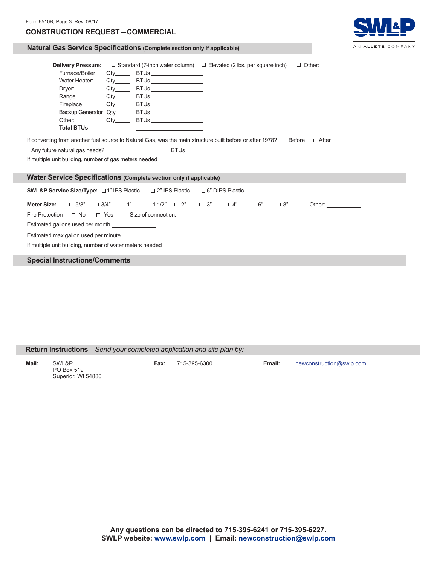# Form 6510B, Page 3 Rev. 08/17 **CONSTRUCTION REQUEST  —  COMMERCIAL**



### **Natural Gas Service Specifications (Complete section only if applicable)**

| <b>Delivery Pressure:</b><br>Furnace/Boiler:<br>Water Heater:<br>Dryer:<br>Range: and the set of the set of the set of the set of the set of the set of the set of the set of the set of the set of the set of the set of the set of the set of the set of the set of the set of the set of the set of th | $Q$ ty $\qquad \qquad$<br>Qtv              | BTUs __________________<br>BTUs _________________<br>Qty_______ BTUs __________________<br>Qty_______ BTUs ___________________                                                                                                       |  |                        |  |  | $\Box$ Standard (7-inch water column) $\Box$ Elevated (2 lbs. per square inch) $\Box$ Other: |  |  |
|-----------------------------------------------------------------------------------------------------------------------------------------------------------------------------------------------------------------------------------------------------------------------------------------------------------|--------------------------------------------|--------------------------------------------------------------------------------------------------------------------------------------------------------------------------------------------------------------------------------------|--|------------------------|--|--|----------------------------------------------------------------------------------------------|--|--|
| Fireplace                                                                                                                                                                                                                                                                                                 |                                            | Qty_______ BTUs __________________                                                                                                                                                                                                   |  |                        |  |  |                                                                                              |  |  |
| Backup Generator Qty______ BTUs ________________                                                                                                                                                                                                                                                          |                                            |                                                                                                                                                                                                                                      |  |                        |  |  |                                                                                              |  |  |
| Other:                                                                                                                                                                                                                                                                                                    |                                            | BTUs ___________________                                                                                                                                                                                                             |  |                        |  |  |                                                                                              |  |  |
| <b>Total BTUs</b>                                                                                                                                                                                                                                                                                         |                                            | <u> The Communication of the Communication of the Communication of the Communication of the Communication of the Communication of the Communication of the Communication of the Communication of the Communication of the Commun</u> |  |                        |  |  |                                                                                              |  |  |
| If converting from another fuel source to Natural Gas, was the main structure built before or after 1978? □ Before<br>□ After<br>If multiple unit building, number of gas meters needed _________________________                                                                                         |                                            |                                                                                                                                                                                                                                      |  |                        |  |  |                                                                                              |  |  |
| <b>Water Service Specifications (Complete section only if applicable)</b>                                                                                                                                                                                                                                 |                                            |                                                                                                                                                                                                                                      |  |                        |  |  |                                                                                              |  |  |
| <b>SWL&amp;P Service Size/Type:</b> $\Box$ 1" IPS Plastic $\Box$ 2" IPS Plastic                                                                                                                                                                                                                           |                                            |                                                                                                                                                                                                                                      |  | $\Box$ 6" DIPS Plastic |  |  |                                                                                              |  |  |
| <b>Meter Size:</b>                                                                                                                                                                                                                                                                                        |                                            | $\Box$ 5/8" $\Box$ 3/4" $\Box$ 1" $\Box$ 1-1/2" $\Box$ 2" $\Box$ 3" $\Box$ 4" $\Box$ 6" $\Box$ 8"                                                                                                                                    |  |                        |  |  | $\Box$ Other:                                                                                |  |  |
| Fire Protection                                                                                                                                                                                                                                                                                           | □ No □ Yes Size of connection: <u>□ No</u> |                                                                                                                                                                                                                                      |  |                        |  |  |                                                                                              |  |  |
| Estimated gallons used per month _______________                                                                                                                                                                                                                                                          |                                            |                                                                                                                                                                                                                                      |  |                        |  |  |                                                                                              |  |  |
| Estimated max gallon used per minute _______________                                                                                                                                                                                                                                                      |                                            |                                                                                                                                                                                                                                      |  |                        |  |  |                                                                                              |  |  |
| If multiple unit building, number of water meters needed _______________                                                                                                                                                                                                                                  |                                            |                                                                                                                                                                                                                                      |  |                        |  |  |                                                                                              |  |  |
| <b>Special Instructions/Comments</b>                                                                                                                                                                                                                                                                      |                                            |                                                                                                                                                                                                                                      |  |                        |  |  |                                                                                              |  |  |

# **Return Instructions***—Send your completed application and site plan by:*

**Mail:** SWL&P **Fax:** 715-395-6300 **Email:** newconstruction@swlp.com PO Box 519 Superior, WI 54880